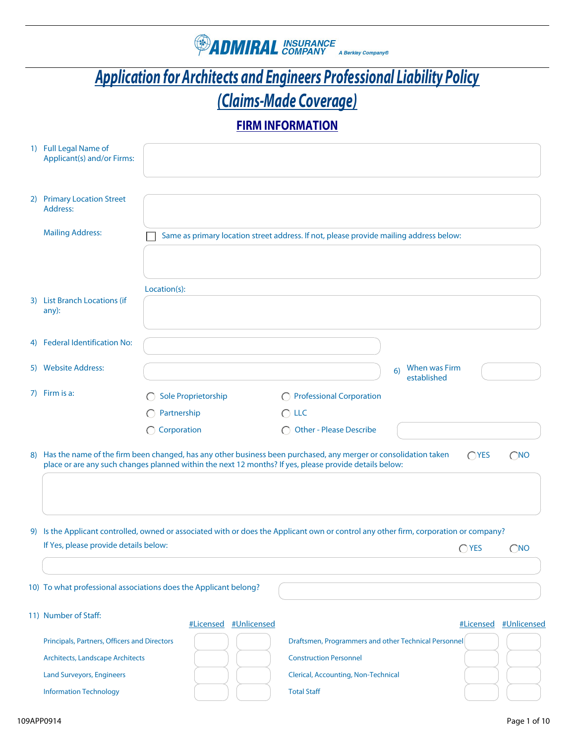

# *Application for Architects and Engineers Professional Liability Policy (Claims-Made Coverage)*

## **FIRM INFORMATION**

| 1) Full Legal Name of<br>Applicant(s) and/or Firms:              |                          |                       |                                                                                                                                                                                                                              |                                    |               |                       |
|------------------------------------------------------------------|--------------------------|-----------------------|------------------------------------------------------------------------------------------------------------------------------------------------------------------------------------------------------------------------------|------------------------------------|---------------|-----------------------|
| 2) Primary Location Street<br>Address:                           |                          |                       |                                                                                                                                                                                                                              |                                    |               |                       |
| <b>Mailing Address:</b>                                          |                          |                       | Same as primary location street address. If not, please provide mailing address below:                                                                                                                                       |                                    |               |                       |
| 3) List Branch Locations (if<br>any):                            | Location(s):             |                       |                                                                                                                                                                                                                              |                                    |               |                       |
|                                                                  |                          |                       |                                                                                                                                                                                                                              |                                    |               |                       |
| 4) Federal Identification No:                                    |                          |                       |                                                                                                                                                                                                                              |                                    |               |                       |
| 5) Website Address:                                              |                          |                       |                                                                                                                                                                                                                              | When was Firm<br>6)<br>established |               |                       |
| 7) Firm is a:                                                    | Sole Proprietorship<br>⊖ |                       | ◯ Professional Corporation                                                                                                                                                                                                   |                                    |               |                       |
|                                                                  | Partnership<br>⊖         |                       | $\bigcirc$ LLC                                                                                                                                                                                                               |                                    |               |                       |
|                                                                  | $\bigcap$ Corporation    |                       | O Other - Please Describe                                                                                                                                                                                                    |                                    |               |                       |
|                                                                  |                          |                       | 8) Has the name of the firm been changed, has any other business been purchased, any merger or consolidation taken<br>place or are any such changes planned within the next 12 months? If yes, please provide details below: |                                    | $\bigcap$ YES | $\bigcap$ NO          |
|                                                                  |                          |                       | 9) Is the Applicant controlled, owned or associated with or does the Applicant own or control any other firm, corporation or company?                                                                                        |                                    |               |                       |
| If Yes, please provide details below:                            |                          |                       |                                                                                                                                                                                                                              |                                    | $\bigcap$ YES | $\bigcirc$ NO         |
|                                                                  |                          |                       |                                                                                                                                                                                                                              |                                    |               |                       |
| 10) To what professional associations does the Applicant belong? |                          |                       |                                                                                                                                                                                                                              |                                    |               |                       |
| 11) Number of Staff:                                             |                          | #Licensed #Unlicensed |                                                                                                                                                                                                                              |                                    |               | #Licensed #Unlicensed |
| Principals, Partners, Officers and Directors                     |                          |                       | Draftsmen, Programmers and other Technical Personnel                                                                                                                                                                         |                                    |               |                       |
| <b>Architects, Landscape Architects</b>                          |                          |                       | <b>Construction Personnel</b>                                                                                                                                                                                                |                                    |               |                       |
| <b>Land Surveyors, Engineers</b>                                 |                          |                       | <b>Clerical, Accounting, Non-Technical</b>                                                                                                                                                                                   |                                    |               |                       |
| <b>Information Technology</b>                                    |                          |                       | <b>Total Staff</b>                                                                                                                                                                                                           |                                    |               |                       |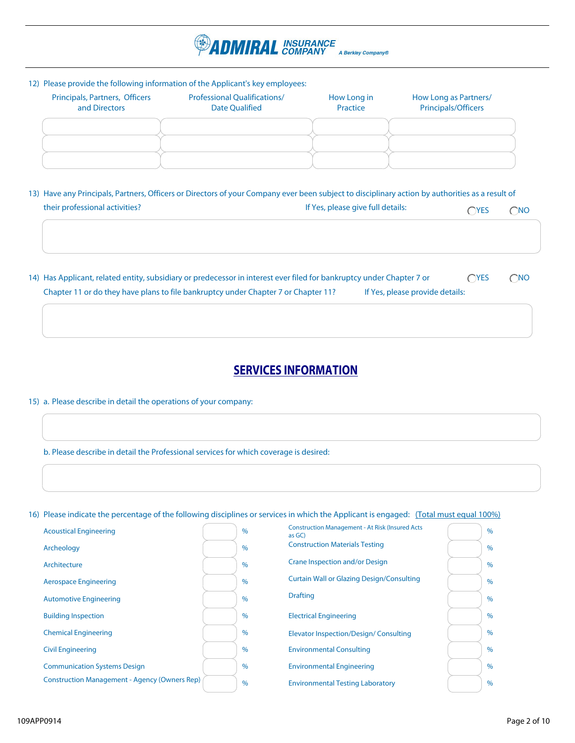

#### 12) Please provide the following information of the Applicant's key employees:

| Principals, Partners, Officers<br>and Directors | <b>Professional Qualifications/</b><br><b>Date Qualified</b> | How Long in<br>Practice | How Long as Partners/<br>Principals/Officers |
|-------------------------------------------------|--------------------------------------------------------------|-------------------------|----------------------------------------------|
|                                                 |                                                              |                         |                                              |
|                                                 |                                                              |                         |                                              |

| 13) Have any Principals, Partners, Officers or Directors of your Company ever been subject to disciplinary action by authorities as a result of |                                   |             |              |  |
|-------------------------------------------------------------------------------------------------------------------------------------------------|-----------------------------------|-------------|--------------|--|
| their professional activities?                                                                                                                  | If Yes, please give full details: | <b>OYES</b> | $\bigcap$ NO |  |

14) Has Applicant, related entity, subsidiary or predecessor in interest ever filed for bankruptcy under Chapter 7 or <br>
CYES CNO Chapter 11 or do they have plans to file bankruptcy under Chapter 7 or Chapter 11? If Yes, please provide details:

### **SERVICES INFORMATION**

Construction Management - At Risk (Insured Acts

15) a. Please describe in detail the operations of your company:

b. Please describe in detail the Professional services for which coverage is desired:

16) Please indicate the percentage of the following disciplines or services in which the Applicant is engaged: (Total must equal 100%)

| <b>Acoustical Engineering</b>                        | $\frac{0}{0}$ | Construction Management - At Risk (insured Acts)<br>as GC) | $\%$ |
|------------------------------------------------------|---------------|------------------------------------------------------------|------|
| Archeology                                           | $\%$          | <b>Construction Materials Testing</b>                      | $\%$ |
| Architecture                                         | $\%$          | Crane Inspection and/or Design                             | $\%$ |
| <b>Aerospace Engineering</b>                         | $\%$          | <b>Curtain Wall or Glazing Design/Consulting</b>           | $\%$ |
| <b>Automotive Engineering</b>                        | $\%$          | <b>Drafting</b>                                            | $\%$ |
| <b>Building Inspection</b>                           | $\%$          | <b>Electrical Engineering</b>                              | $\%$ |
| <b>Chemical Engineering</b>                          | $\%$          | Elevator Inspection/Design/Consulting                      | $\%$ |
| <b>Civil Engineering</b>                             | $\%$          | <b>Environmental Consulting</b>                            | $\%$ |
| <b>Communication Systems Design</b>                  | $\%$          | <b>Environmental Engineering</b>                           | $\%$ |
| <b>Construction Management - Agency (Owners Rep)</b> | $\%$          | <b>Environmental Testing Laboratory</b>                    | $\%$ |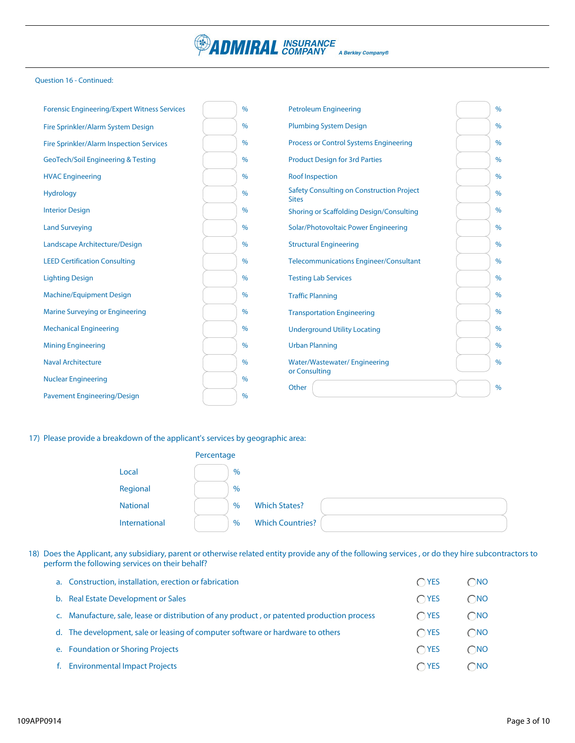

#### Question 16 - Continued:

| <b>Forensic Engineering/Expert Witness Services</b> | $\frac{0}{0}$ | <b>Petroleum Engineering</b>                                     | $\frac{0}{0}$ |
|-----------------------------------------------------|---------------|------------------------------------------------------------------|---------------|
| Fire Sprinkler/Alarm System Design                  | $\frac{0}{0}$ | <b>Plumbing System Design</b>                                    | $\%$          |
| <b>Fire Sprinkler/Alarm Inspection Services</b>     | $\frac{0}{0}$ | <b>Process or Control Systems Engineering</b>                    | $\%$          |
| <b>GeoTech/Soil Engineering &amp; Testing</b>       | $\frac{0}{0}$ | <b>Product Design for 3rd Parties</b>                            | $\%$          |
| <b>HVAC Engineering</b>                             | $\frac{0}{0}$ | <b>Roof Inspection</b>                                           | %             |
| <b>Hydrology</b>                                    | $\%$          | <b>Safety Consulting on Construction Project</b><br><b>Sites</b> | $\%$          |
| <b>Interior Design</b>                              | $\frac{0}{0}$ | Shoring or Scaffolding Design/Consulting                         | $\%$          |
| <b>Land Surveying</b>                               | $\frac{0}{0}$ | Solar/Photovoltaic Power Engineering                             | $\%$          |
| Landscape Architecture/Design                       | $\frac{0}{0}$ | <b>Structural Engineering</b>                                    | $\%$          |
| <b>LEED Certification Consulting</b>                | $\%$          | <b>Telecommunications Engineer/Consultant</b>                    | $\frac{0}{0}$ |
| <b>Lighting Design</b>                              | $\frac{0}{0}$ | <b>Testing Lab Services</b>                                      | $\%$          |
| <b>Machine/Equipment Design</b>                     | $\frac{0}{0}$ | <b>Traffic Planning</b>                                          | $\frac{0}{0}$ |
| Marine Surveying or Engineering                     | $\%$          | <b>Transportation Engineering</b>                                | $\%$          |
| <b>Mechanical Engineering</b>                       | $\frac{0}{0}$ | <b>Underground Utility Locating</b>                              | $\frac{0}{0}$ |
| <b>Mining Engineering</b>                           | $\%$          | <b>Urban Planning</b>                                            | $\%$          |
| <b>Naval Architecture</b>                           | $\frac{0}{0}$ | <b>Water/Wastewater/Engineering</b>                              | $\frac{0}{0}$ |
| <b>Nuclear Engineering</b>                          | $\frac{0}{0}$ | or Consulting                                                    |               |
| <b>Pavement Engineering/Design</b>                  | $\%$          | Other                                                            | $\frac{0}{0}$ |

17) Please provide a breakdown of the applicant's services by geographic area:

|                 | Percentage    |                         |  |
|-----------------|---------------|-------------------------|--|
| Local           | $\frac{0}{0}$ |                         |  |
| Regional        | $\%$          |                         |  |
| <b>National</b> | $\frac{0}{0}$ | <b>Which States?</b>    |  |
| International   | $\%$          | <b>Which Countries?</b> |  |

18) Does the Applicant, any subsidiary, parent or otherwise related entity provide any of the following services, or do they hire subcontractors to perform the following services on their behalf?

| a. Construction, installation, erection or fabrication                                     | $\bigcap$ YES | $\bigcap$ NO  |
|--------------------------------------------------------------------------------------------|---------------|---------------|
| b. Real Estate Development or Sales                                                        | $\bigcap$ YES | $\bigcirc$ NO |
| c. Manufacture, sale, lease or distribution of any product, or patented production process | $\bigcap$ YES | $\bigcap$ NO  |
| d. The development, sale or leasing of computer software or hardware to others             | $\bigcap$ YES | $\bigcap$ NO  |
| e. Foundation or Shoring Projects                                                          | $\bigcap$ YES | $\bigcap$ NO  |
| f. Environmental Impact Projects                                                           | $\bigcap$ YES | $\bigcap$ NO  |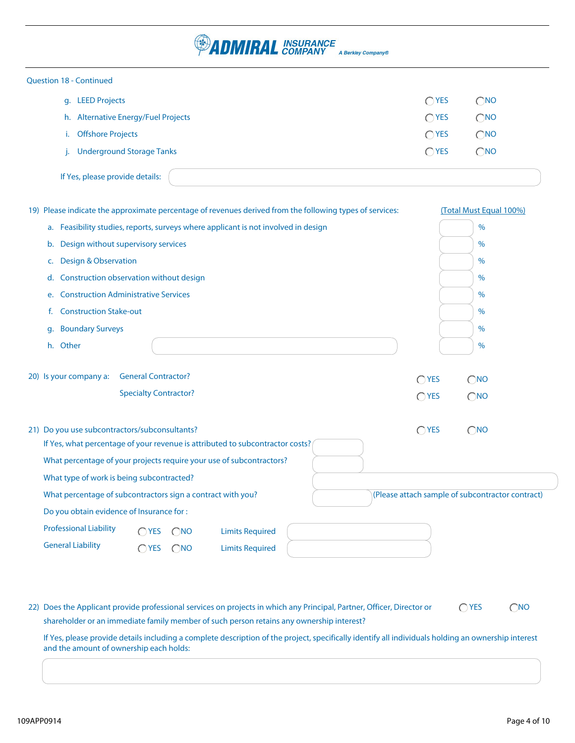### *ADMIRAL INSURANCE* A Berkley Company®

| <b>Question 18 - Continued</b>                                                                                                                                                                                                                      |               |                                                  |
|-----------------------------------------------------------------------------------------------------------------------------------------------------------------------------------------------------------------------------------------------------|---------------|--------------------------------------------------|
| g. LEED Projects                                                                                                                                                                                                                                    | $\bigcap$ YES | $\bigcirc$ NO                                    |
| h. Alternative Energy/Fuel Projects                                                                                                                                                                                                                 | $\bigcap$ YES | $\bigcirc$ NO                                    |
| <b>Offshore Projects</b><br>i.                                                                                                                                                                                                                      | $\bigcap$ YES | $\bigcirc$ NO                                    |
| <b>Underground Storage Tanks</b>                                                                                                                                                                                                                    | $\bigcap$ YES | $\bigcirc$ NO                                    |
| If Yes, please provide details:                                                                                                                                                                                                                     |               |                                                  |
| 19) Please indicate the approximate percentage of revenues derived from the following types of services:                                                                                                                                            |               | (Total Must Equal 100%)                          |
| a. Feasibility studies, reports, surveys where applicant is not involved in design                                                                                                                                                                  |               | $\%$                                             |
| Design without supervisory services<br>b.                                                                                                                                                                                                           |               | $\%$                                             |
| <b>Design &amp; Observation</b><br>c.                                                                                                                                                                                                               |               | %                                                |
| Construction observation without design<br>d.                                                                                                                                                                                                       |               | $\%$                                             |
| <b>Construction Administrative Services</b><br>e.                                                                                                                                                                                                   |               | %                                                |
| <b>Construction Stake-out</b><br>f.                                                                                                                                                                                                                 |               | %                                                |
| <b>Boundary Surveys</b><br>g.                                                                                                                                                                                                                       |               | $\%$                                             |
| h. Other                                                                                                                                                                                                                                            |               | $\frac{0}{0}$                                    |
| 20) Is your company a:<br><b>General Contractor?</b>                                                                                                                                                                                                | $\bigcap$ YES | $\bigcirc$ <sub>NO</sub>                         |
| <b>Specialty Contractor?</b>                                                                                                                                                                                                                        | $\bigcap$ YES | $\bigcirc$ NO                                    |
| 21) Do you use subcontractors/subconsultants?<br>If Yes, what percentage of your revenue is attributed to subcontractor costs?<br>What percentage of your projects require your use of subcontractors?<br>What type of work is being subcontracted? | $\bigcap$ YES | $\bigcirc$ <sub>NO</sub>                         |
| What percentage of subcontractors sign a contract with you?                                                                                                                                                                                         |               | (Please attach sample of subcontractor contract) |
| Do you obtain evidence of Insurance for :                                                                                                                                                                                                           |               |                                                  |
| <b>Professional Liability</b>                                                                                                                                                                                                                       |               |                                                  |
| <b>Limits Required</b><br>$\bigcap$ YES<br>$\bigcirc$ NO                                                                                                                                                                                            |               |                                                  |
| <b>General Liability</b><br>$\bigcirc$ YES<br>$\bigcirc$ NO<br><b>Limits Required</b>                                                                                                                                                               |               |                                                  |

22) Does the Applicant provide professional services on projects in which any Principal, Partner, Officer, Director or  $\bigcirc$  YES  $\bigcirc$  NO shareholder or an immediate family member of such person retains any ownership interest?

If Yes, please provide details including a complete description of the project, specifically identify all individuals holding an ownership interest and the amount of ownership each holds: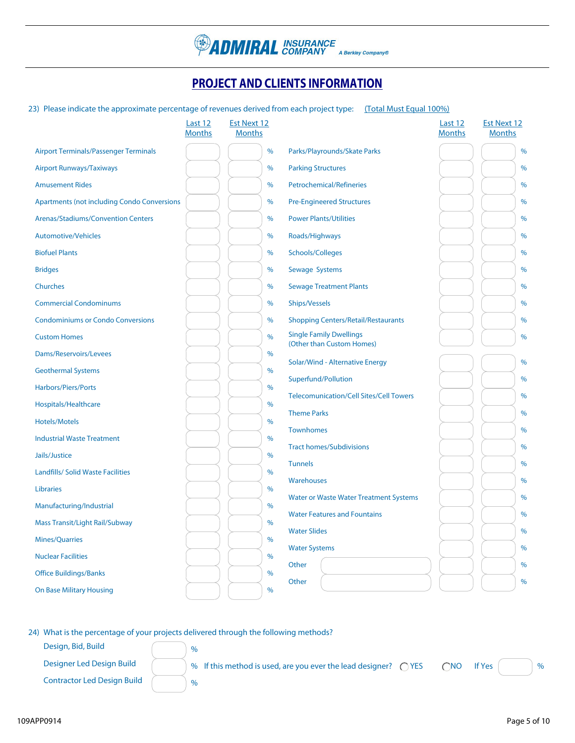

### **PROJECT AND CLIENTS INFORMATION**

#### 23) Please indicate the approximate percentage of revenues derived from each project type: (Total Must Equal 100%)

|                                                    | Last 12<br><b>Months</b> | <b>Est Next 12</b><br><b>Months</b> |                                                             | Last 12<br><b>Months</b> | <b>Est Next 12</b><br><b>Months</b> |
|----------------------------------------------------|--------------------------|-------------------------------------|-------------------------------------------------------------|--------------------------|-------------------------------------|
| <b>Airport Terminals/Passenger Terminals</b>       |                          | $\%$                                | Parks/Playrounds/Skate Parks                                |                          | $\frac{0}{0}$                       |
| <b>Airport Runways/Taxiways</b>                    |                          | $\%$                                | <b>Parking Structures</b>                                   |                          | $\frac{0}{6}$                       |
| <b>Amusement Rides</b>                             |                          | %                                   | Petrochemical/Refineries                                    |                          | $\frac{0}{0}$                       |
| <b>Apartments (not including Condo Conversions</b> |                          | %                                   | <b>Pre-Engineered Structures</b>                            |                          | $\%$                                |
| <b>Arenas/Stadiums/Convention Centers</b>          |                          | %                                   | <b>Power Plants/Utilities</b>                               |                          | %                                   |
| <b>Automotive/Vehicles</b>                         |                          | %                                   | Roads/Highways                                              |                          | $\%$                                |
| <b>Biofuel Plants</b>                              |                          | %                                   | Schools/Colleges                                            |                          | %                                   |
| <b>Bridges</b>                                     |                          | $\%$                                | Sewage Systems                                              |                          | $\%$                                |
| Churches                                           |                          | %                                   | <b>Sewage Treatment Plants</b>                              |                          | $\%$                                |
| <b>Commercial Condominums</b>                      |                          | %                                   | <b>Ships/Vessels</b>                                        |                          | $\%$                                |
| <b>Condominiums or Condo Conversions</b>           |                          | %                                   | <b>Shopping Centers/Retail/Restaurants</b>                  |                          | $\%$                                |
| <b>Custom Homes</b>                                |                          | %                                   | <b>Single Family Dwellings</b><br>(Other than Custom Homes) |                          | %                                   |
| Dams/Reservoirs/Levees                             |                          | $\frac{0}{6}$                       |                                                             |                          | $\%$                                |
| <b>Geothermal Systems</b>                          |                          | %                                   | Solar/Wind - Alternative Energy<br>Superfund/Pollution      |                          | %                                   |
| Harbors/Piers/Ports                                |                          | %                                   | <b>Telecomunication/Cell Sites/Cell Towers</b>              |                          | $\%$                                |
| Hospitals/Healthcare                               |                          | $\%$                                | <b>Theme Parks</b>                                          |                          | $\%$                                |
| <b>Hotels/Motels</b>                               |                          | $\%$                                | <b>Townhomes</b>                                            |                          | $\%$                                |
| <b>Industrial Waste Treatment</b>                  |                          | %                                   |                                                             |                          |                                     |
| Jails/Justice                                      |                          | $\%$                                | <b>Tract homes/Subdivisions</b>                             |                          | $\frac{0}{0}$                       |
| <b>Landfills/ Solid Waste Facilities</b>           |                          | $\%$                                | <b>Tunnels</b>                                              |                          | $\frac{0}{6}$                       |
| <b>Libraries</b>                                   |                          | $\%$                                | Warehouses                                                  |                          | $\%$                                |
| Manufacturing/Industrial                           |                          | $\%$                                | <b>Water or Waste Water Treatment Systems</b>               |                          | $\%$                                |
| <b>Mass Transit/Light Rail/Subway</b>              |                          | $\%$                                | <b>Water Features and Fountains</b>                         |                          | %                                   |
| <b>Mines/Quarries</b>                              |                          | $\%$                                | <b>Water Slides</b>                                         |                          | $\frac{0}{6}$                       |
| <b>Nuclear Facilities</b>                          |                          | %                                   | <b>Water Systems</b>                                        |                          | $\%$                                |
| <b>Office Buildings/Banks</b>                      |                          | %                                   | Other                                                       |                          | $\%$                                |
| <b>On Base Military Housing</b>                    |                          | $\frac{0}{6}$                       | Other                                                       |                          | $\frac{0}{6}$                       |

24) What is the percentage of your projects delivered through the following methods?

Design, Bid, Build  $\sqrt{ }$  %

Contractor Led Design Build (30%)

Designer Led Design Build  $\sim$  % If this method is used, are you ever the lead designer?  $\sim$  YES  $\sim$  MO If Yes  $\sim$  %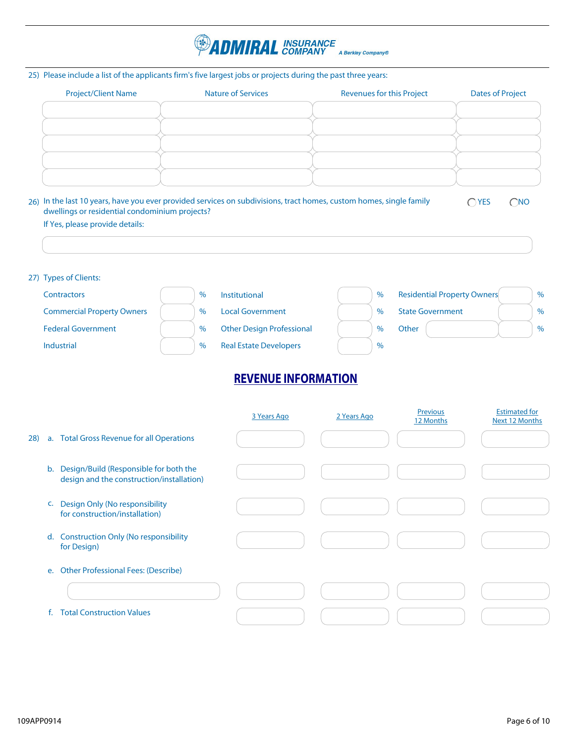

#### 25) Please include a list of the applicants firm's five largest jobs or projects during the past three years:

| <b>Project/Client Name</b> | <b>Nature of Services</b> | <b>Revenues for this Project</b> | <b>Dates of Project</b> |
|----------------------------|---------------------------|----------------------------------|-------------------------|
|                            |                           |                                  |                         |
|                            |                           |                                  |                         |
|                            |                           |                                  |                         |
|                            |                           |                                  |                         |
|                            |                           |                                  |                         |
|                            |                           |                                  |                         |

26) In the last 10 years, have you ever provided services on subdivisions, tract homes, custom homes, single family dwellings or residential condominium projects?

 $OYES$   $ONO$ 

#### If Yes, please provide details:

#### 27) Types of Clients:

| Contractors                       | $\%$ | <b>Institutional</b>             | $\%$          | <b>Residential Property Owners</b> | $\frac{0}{0}$ |
|-----------------------------------|------|----------------------------------|---------------|------------------------------------|---------------|
| <b>Commercial Property Owners</b> | $\%$ | <b>Local Government</b>          | $\frac{0}{0}$ | <b>State Government</b>            | $\%$          |
| <b>Federal Government</b>         | $\%$ | <b>Other Design Professional</b> | $\frac{0}{0}$ | Other                              | $\%$          |
| Industrial                        | $\%$ | <b>Real Estate Developers</b>    | $\frac{0}{0}$ |                                    |               |

### **REVENUE INFORMATION**

|     |         |                                                                                     | 3 Years Ago | 2 Years Ago | Previous<br>12 Months | <b>Estimated for</b><br>Next 12 Months |
|-----|---------|-------------------------------------------------------------------------------------|-------------|-------------|-----------------------|----------------------------------------|
| 28) |         | a. Total Gross Revenue for all Operations                                           |             |             |                       |                                        |
|     | $b_{1}$ | Design/Build (Responsible for both the<br>design and the construction/installation) |             |             |                       |                                        |
|     | C.      | Design Only (No responsibility<br>for construction/installation)                    |             |             |                       |                                        |
|     | d.      | <b>Construction Only (No responsibility</b><br>for Design)                          |             |             |                       |                                        |
|     | e.      | <b>Other Professional Fees: (Describe)</b>                                          |             |             |                       |                                        |
|     |         |                                                                                     |             |             |                       |                                        |
|     |         | <b>Total Construction Values</b>                                                    |             |             |                       |                                        |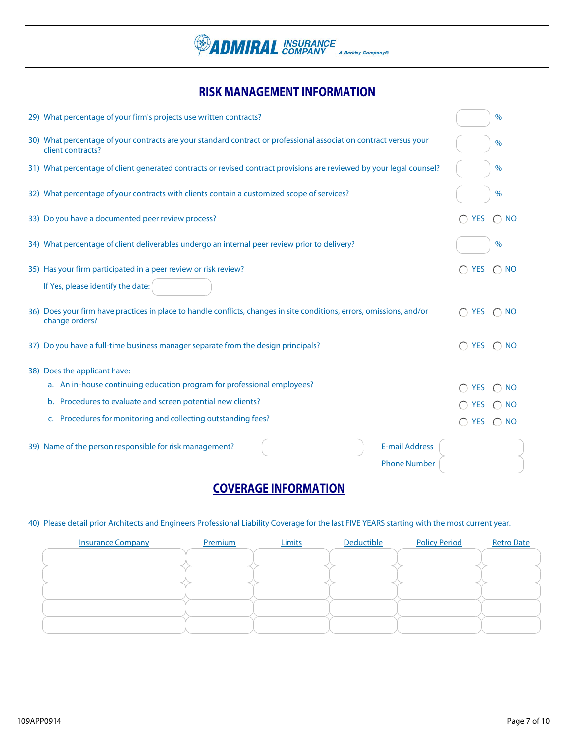

### **RISK MANAGEMENT INFORMATION**

| 29) What percentage of your firm's projects use written contracts?                                                                      |                            | $\frac{0}{0}$ |
|-----------------------------------------------------------------------------------------------------------------------------------------|----------------------------|---------------|
| 30) What percentage of your contracts are your standard contract or professional association contract versus your<br>client contracts?  |                            | $\frac{0}{0}$ |
| 31) What percentage of client generated contracts or revised contract provisions are reviewed by your legal counsel?                    |                            | $\frac{0}{0}$ |
| 32) What percentage of your contracts with clients contain a customized scope of services?                                              |                            | $\frac{0}{0}$ |
| 33) Do you have a documented peer review process?                                                                                       | <b>YES</b>                 | $\bigcap$ NO  |
| 34) What percentage of client deliverables undergo an internal peer review prior to delivery?                                           |                            | $\%$          |
| 35) Has your firm participated in a peer review or risk review?                                                                         | $\bigcap$ YES $\bigcap$ NO |               |
| If Yes, please identify the date:                                                                                                       |                            |               |
| 36) Does your firm have practices in place to handle conflicts, changes in site conditions, errors, omissions, and/or<br>change orders? | $\bigcap$ YES $\bigcap$ NO |               |
| 37) Do you have a full-time business manager separate from the design principals?                                                       | $\bigcap$ YES $\bigcap$ NO |               |
| 38) Does the applicant have:                                                                                                            |                            |               |
| a. An in-house continuing education program for professional employees?                                                                 | <b>YES</b>                 | <b>NO</b>     |
| Procedures to evaluate and screen potential new clients?<br>$\mathbf{b}$ .                                                              | <b>YES</b>                 | $\bigcap$ NO  |
| Procedures for monitoring and collecting outstanding fees?<br>C.                                                                        | <b>YES</b>                 | $\bigcap$ NO  |
| <b>E-mail Address</b><br>39) Name of the person responsible for risk management?                                                        |                            |               |
| <b>Phone Number</b>                                                                                                                     |                            |               |

### **COVERAGE INFORMATION**

#### 40) Please detail prior Architects and Engineers Professional Liability Coverage for the last FIVE YEARS starting with the most current year.

| <b>Insurance Company</b> | Premium | Limits | Deductible | <b>Policy Period</b> | <b>Retro Date</b> |
|--------------------------|---------|--------|------------|----------------------|-------------------|
|                          |         |        |            |                      |                   |
|                          |         |        |            |                      |                   |
|                          |         |        |            |                      |                   |
|                          |         |        |            |                      |                   |
|                          |         |        |            |                      |                   |
|                          |         |        |            |                      |                   |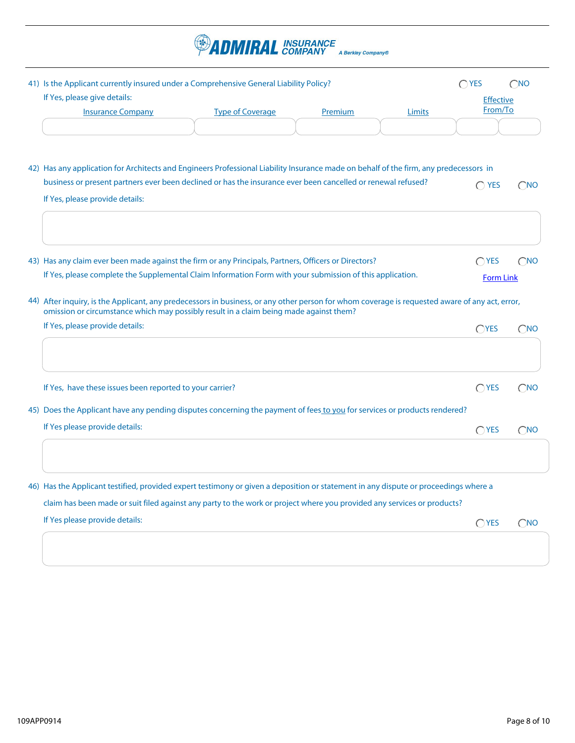

| 41) Is the Applicant currently insured under a Comprehensive General Liability Policy?<br>If Yes, please give details:                                                                                                                                   |                         |                |        | $\bigcap$ YES<br><b>Effective</b><br>From/To | $\bigcirc$ NO |
|----------------------------------------------------------------------------------------------------------------------------------------------------------------------------------------------------------------------------------------------------------|-------------------------|----------------|--------|----------------------------------------------|---------------|
| <b>Insurance Company</b>                                                                                                                                                                                                                                 | <b>Type of Coverage</b> | <b>Premium</b> | Limits |                                              |               |
| Has any application for Architects and Engineers Professional Liability Insurance made on behalf of the firm, any predecessors in<br>42)<br>business or present partners ever been declined or has the insurance ever been cancelled or renewal refused? |                         |                |        | <b>YES</b><br>∩                              | $\bigcap$ NO  |
| If Yes, please provide details:                                                                                                                                                                                                                          |                         |                |        |                                              |               |
|                                                                                                                                                                                                                                                          |                         |                |        | $\bigcap$ YES                                | ( `No         |
| 43) Has any claim ever been made against the firm or any Principals, Partners, Officers or Directors?                                                                                                                                                    |                         |                |        |                                              |               |

44) After inquiry, is the Applicant, any predecessors in business, or any other person for whom coverage is requested aware of any act, error, omission or circumstance which may possibly result in a claim being made against them?

| If Yes, please provide details:                          | <b>TYES</b>                                                                                                               | ` `No |
|----------------------------------------------------------|---------------------------------------------------------------------------------------------------------------------------|-------|
|                                                          |                                                                                                                           |       |
| If Yes, have these issues been reported to your carrier? | <b>YES</b>                                                                                                                |       |
|                                                          |                                                                                                                           |       |
| If Yes please provide details:                           | $\bigcap$ YES                                                                                                             | ∩ No  |
|                                                          |                                                                                                                           |       |
|                                                          |                                                                                                                           |       |
|                                                          | 45) Does the Applicant have any pending disputes concerning the payment of fees to you for services or products rendered? |       |

claim has been made or suit filed against any party to the work or project where you provided any services or products?

 $OYES$   $ONO$ If Yes please provide details: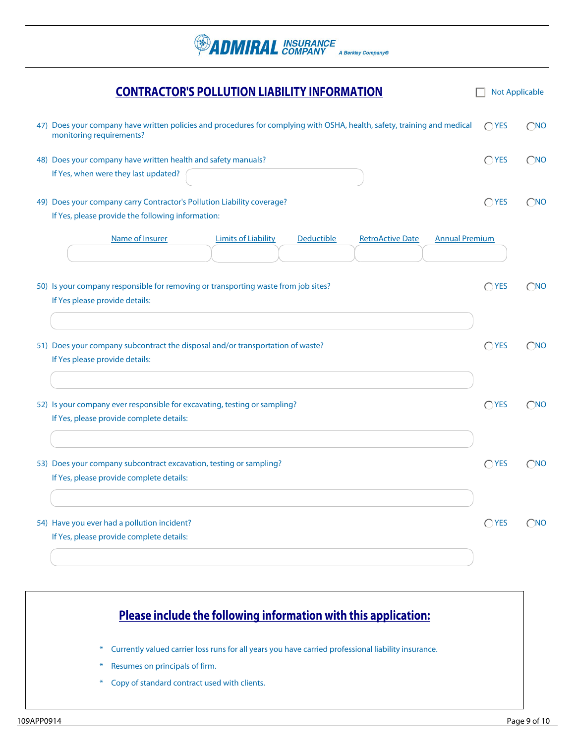**PADMIRAL** INSURANCE A Berkley Company®

|     | <b>CONTRACTOR'S POLLUTION LIABILITY INFORMATION</b>                                                                                              | <b>Not Applicable</b> |               |
|-----|--------------------------------------------------------------------------------------------------------------------------------------------------|-----------------------|---------------|
| 47) | Does your company have written policies and procedures for complying with OSHA, health, safety, training and medical<br>monitoring requirements? | $\bigcap$ YES         | $\bigcirc$ NO |
|     | 48) Does your company have written health and safety manuals?<br>If Yes, when were they last updated?                                            | $\bigcap$ YES         | $\bigcirc$ NO |
|     | 49) Does your company carry Contractor's Pollution Liability coverage?<br>If Yes, please provide the following information:                      | $\bigcap$ YES         | $\bigcirc$ NO |
|     | Name of Insurer<br><b>Limits of Liability</b><br>Deductible<br><b>RetroActive Date</b><br><b>Annual Premium</b>                                  |                       |               |
|     | 50) Is your company responsible for removing or transporting waste from job sites?<br>If Yes please provide details:                             | $\bigcap$ YES         | $\bigcirc$ NO |
|     | 51) Does your company subcontract the disposal and/or transportation of waste?<br>If Yes please provide details:                                 | $\bigcap$ YES         | $\bigcirc$ NO |
|     | 52) Is your company ever responsible for excavating, testing or sampling?<br>If Yes, please provide complete details:                            | $\bigcap$ YES         | $\bigcirc$ NO |
|     | 53) Does your company subcontract excavation, testing or sampling?<br>If Yes, please provide complete details:                                   | $\bigcap$ YES         | $\bigcap$ NO  |
|     | 54) Have you ever had a pollution incident?<br>If Yes, please provide complete details:                                                          | $\bigcirc$ YES        | $\bigcirc$ NO |